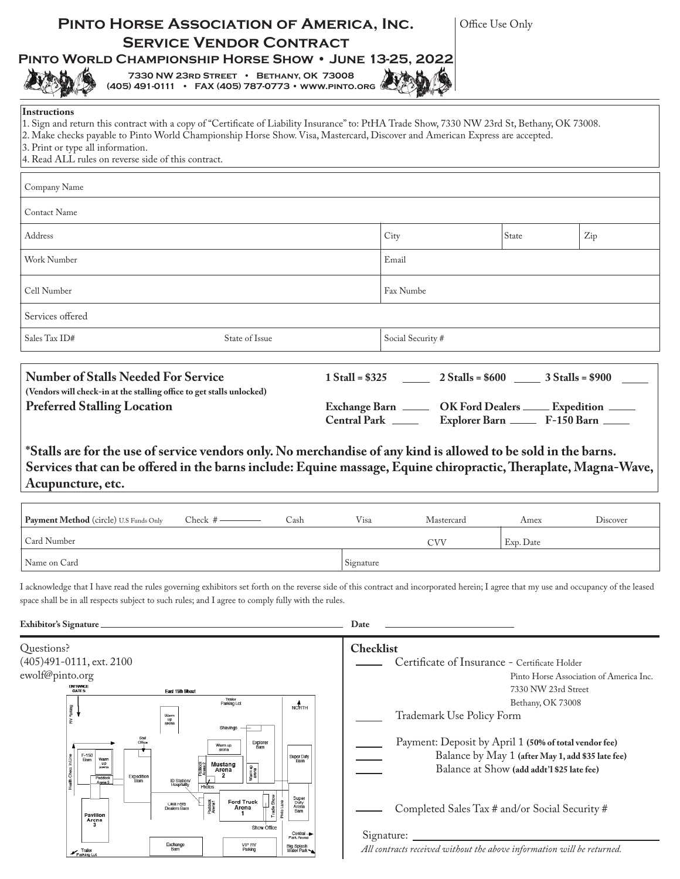| PINTO HORSE ASSOCIATION OF AMERICA, INC.<br><b>SERVICE VENDOR CONTRACT</b><br>PINTO WORLD CHAMPIONSHIP HORSE SHOW . JUNE 13-25, 2022<br>7330 NW 23RD STREET • BETHANY, OK 73008<br>(405) 491-0111 • FAX (405) 787-0773 • WWW.PINTO.ORG                                                                                                                                                           | Office Use Only                                                                                                                                                                                                                                 |
|--------------------------------------------------------------------------------------------------------------------------------------------------------------------------------------------------------------------------------------------------------------------------------------------------------------------------------------------------------------------------------------------------|-------------------------------------------------------------------------------------------------------------------------------------------------------------------------------------------------------------------------------------------------|
| <b>Instructions</b><br>1. Sign and return this contract with a copy of "Certificate of Liability Insurance" to: PtHA Trade Show, 7330 NW 23rd St, Bethany, OK 73008.<br>2. Make checks payable to Pinto World Championship Horse Show. Visa, Mastercard, Discover and American Express are accepted.<br>3. Print or type all information.<br>4. Read ALL rules on reverse side of this contract. |                                                                                                                                                                                                                                                 |
| Company Name                                                                                                                                                                                                                                                                                                                                                                                     |                                                                                                                                                                                                                                                 |
| <b>Contact Name</b>                                                                                                                                                                                                                                                                                                                                                                              |                                                                                                                                                                                                                                                 |
| Address                                                                                                                                                                                                                                                                                                                                                                                          | City<br>State<br>Zip                                                                                                                                                                                                                            |
| Work Number                                                                                                                                                                                                                                                                                                                                                                                      | Email                                                                                                                                                                                                                                           |
| Cell Number                                                                                                                                                                                                                                                                                                                                                                                      | Fax Numbe                                                                                                                                                                                                                                       |
| Services offered                                                                                                                                                                                                                                                                                                                                                                                 |                                                                                                                                                                                                                                                 |
| State of Issue<br>Sales Tax ID#                                                                                                                                                                                                                                                                                                                                                                  | Social Security #                                                                                                                                                                                                                               |
| <b>Preferred Stalling Location</b><br>*Stalls are for the use of service vendors only. No merchandise of any kind is allowed to be sold in the barns.<br>Acupuncture, etc.                                                                                                                                                                                                                       | Exchange Barn _______ OK Ford Dealers _____ Expedition _____<br>Central Park ________ Explorer Barn _______ F-150 Barn _____<br>Services that can be offered in the barns include: Equine massage, Equine chiropractic, Theraplate, Magna-Wave, |
| Payment Method (circle) U.S Funds Only<br>Check $#$ —<br>Cash                                                                                                                                                                                                                                                                                                                                    | Visa<br>Mastercard<br>Amex<br>Discover                                                                                                                                                                                                          |
| Card Number                                                                                                                                                                                                                                                                                                                                                                                      | Exp. Date<br><b>CVV</b>                                                                                                                                                                                                                         |
| Name on Card                                                                                                                                                                                                                                                                                                                                                                                     | Signature                                                                                                                                                                                                                                       |
| space shall be in all respects subject to such rules; and I agree to comply fully with the rules.                                                                                                                                                                                                                                                                                                | I acknowledge that I have read the rules governing exhibitors set forth on the reverse side of this contract and incorporated herein; I agree that my use and occupancy of the leased                                                           |
| Exhibitor's Signature                                                                                                                                                                                                                                                                                                                                                                            | Date                                                                                                                                                                                                                                            |
| Questions?<br>(405) 491 - 0111, ext. 2100<br>ewolf@pinto.org<br><b>ENTRANCE</b><br>GATE 5<br><b>East 15th Street</b><br>Trailer<br>Parking Lot<br>$M$<br>$M$<br>Bupus <sub>c</sub><br>Warm<br>up<br>arena<br>F,<br>Shavings<br>Explorer<br>Warm up<br>Barn                                                                                                                                       | <b>Checklist</b><br>Certificate of Insurance - Certificate Holder<br>Pinto Horse Association of America Inc.<br>7330 NW 23rd Street<br>Bethany, OK 73008<br>Trademark Use Policy Form<br>Payment: Deposit by April 1 (50% of total vendor fee)  |

Completed Sales Tax # and/or Social Security #

Signature:

Ford Truck<br>Arena<br>1

VIP RV<br>Parking

Paddock<br>Arena1

 $\begin{array}{|c|c|}\n\hline\n\multicolumn{1}{|c|}{\textbf{1} \textbf{0} \textbf{1} \textbf{1}}\n\hline\n\multicolumn{1}{|c|}{\textbf{1} \textbf{0} \textbf{1}}\n\hline\n\multicolumn{1}{|c|}{\textbf{1} \textbf{0} \textbf{1}}\n\hline\n\end{array}$ 

Show Office

Pinto Lane

Super<br>Duty<br>Arena<br>Barn

Central<br>Park Arena

Big Splash<br>Water Park

Pavillon<br>Arcna<br>3

 $\mathbf{r}_{\text{Parking Lot}}$ 

Expedition<br>Barn

ID Station/<br>Hospitality

Okla Ford<br>Dealers Barn

Exchange<br>Barn

Health Check

*All contracts received without the above information will be returned.*